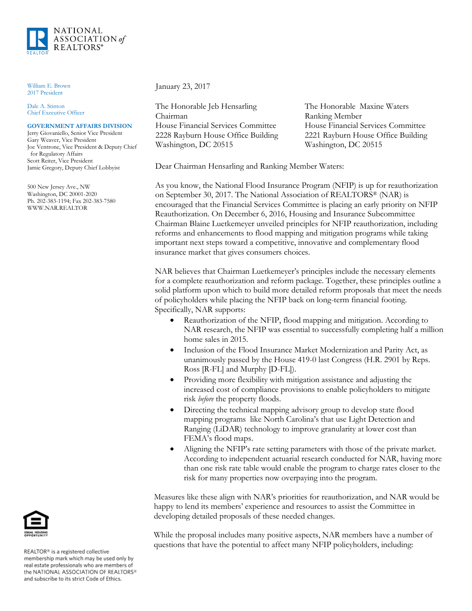

William E. Brown 2017 President

Dale A. Stinton Chief Executive Officer

## **GOVERNMENT AFFAIRS DIVISION**

Jerry Giovaniello, Senior Vice President Gary Weaver, Vice President Joe Ventrone, Vice President & Deputy Chief for Regulatory Affairs Scott Reiter, Vice President Jamie Gregory, Deputy Chief Lobbyist

500 New Jersey Ave., NW Washington, DC 20001-2020 Ph. 202-383-1194; Fax 202-383-7580 WWW.NAR.REALTOR

January 23, 2017

The Honorable Jeb Hensarling Chairman House Financial Services Committee 2228 Rayburn House Office Building Washington, DC 20515

The Honorable Maxine Waters Ranking Member House Financial Services Committee 2221 Rayburn House Office Building Washington, DC 20515

Dear Chairman Hensarling and Ranking Member Waters:

As you know, the National Flood Insurance Program (NFIP) is up for reauthorization on September 30, 2017. The National Association of REALTORS® (NAR) is encouraged that the Financial Services Committee is placing an early priority on NFIP Reauthorization. On December 6, 2016, Housing and Insurance Subcommittee Chairman Blaine Luetkemeyer unveiled principles for NFIP reauthorization, including reforms and enhancements to flood mapping and mitigation programs while taking important next steps toward a competitive, innovative and complementary flood insurance market that gives consumers choices.

NAR believes that Chairman Luetkemeyer's principles include the necessary elements for a complete reauthorization and reform package. Together, these principles outline a solid platform upon which to build more detailed reform proposals that meet the needs of policyholders while placing the NFIP back on long-term financial footing. Specifically, NAR supports:

- Reauthorization of the NFIP, flood mapping and mitigation. According to NAR research, the NFIP was essential to successfully completing half a million home sales in 2015.
- Inclusion of the Flood Insurance Market Modernization and Parity Act, as unanimously passed by the House 419-0 last Congress (H.R. 2901 by Reps. Ross [R-FL] and Murphy [D-FL]).
- Providing more flexibility with mitigation assistance and adjusting the increased cost of compliance provisions to enable policyholders to mitigate risk *before* the property floods.
- Directing the technical mapping advisory group to develop state flood mapping programs like North Carolina's that use Light Detection and Ranging (LiDAR) technology to improve granularity at lower cost than FEMA's flood maps.
- Aligning the NFIP's rate setting parameters with those of the private market. According to independent actuarial research conducted for NAR, having more than one risk rate table would enable the program to charge rates closer to the risk for many properties now overpaying into the program.

Measures like these align with NAR's priorities for reauthorization, and NAR would be happy to lend its members' experience and resources to assist the Committee in developing detailed proposals of these needed changes.

While the proposal includes many positive aspects, NAR members have a number of questions that have the potential to affect many NFIP policyholders, including:



REALTOR® is a registered collective membership mark which may be used only by real estate professionals who are members of<br>the NATIONAL ASSOCIATION OF REALTORS® and subscribe to its strict Code of Ethics.